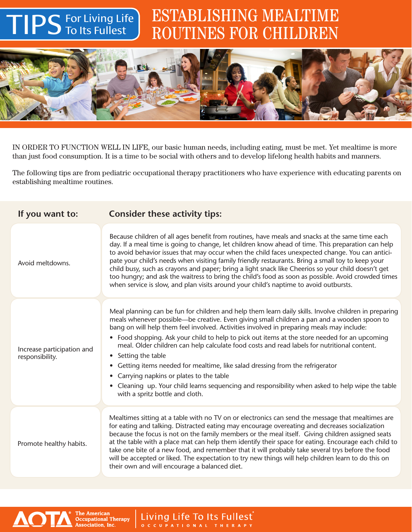## TIPS ESTABLISHING MEALTIME ROUTINES FOR CHILDREN



For Living Life To Its Fullest

The American<br>Occupational Therapy<br>Association, Inc.

**AOT** 

IN ORDER TO FUNCTION WELL IN LIFE, our basic human needs, including eating, must be met. Yet mealtime is more than just food consumption. It is a time to be social with others and to develop lifelong health habits and manners.

The following tips are from pediatric occupational therapy practitioners who have experience with educating parents on establishing mealtime routines.

| If you want to:                               | <b>Consider these activity tips:</b>                                                                                                                                                                                                                                                                                                                                                                                                                                                                                                                                                                                                                                                                                                                                                           |
|-----------------------------------------------|------------------------------------------------------------------------------------------------------------------------------------------------------------------------------------------------------------------------------------------------------------------------------------------------------------------------------------------------------------------------------------------------------------------------------------------------------------------------------------------------------------------------------------------------------------------------------------------------------------------------------------------------------------------------------------------------------------------------------------------------------------------------------------------------|
| Avoid meltdowns.                              | Because children of all ages benefit from routines, have meals and snacks at the same time each<br>day. If a meal time is going to change, let children know ahead of time. This preparation can help<br>to avoid behavior issues that may occur when the child faces unexpected change. You can antici-<br>pate your child's needs when visiting family friendly restaurants. Bring a small toy to keep your<br>child busy, such as crayons and paper; bring a light snack like Cheerios so your child doesn't get<br>too hungry; and ask the waitress to bring the child's food as soon as possible. Avoid crowded times<br>when service is slow, and plan visits around your child's naptime to avoid outbursts.                                                                            |
| Increase participation and<br>responsibility. | Meal planning can be fun for children and help them learn daily skills. Involve children in preparing<br>meals whenever possible—be creative. Even giving small children a pan and a wooden spoon to<br>bang on will help them feel involved. Activities involved in preparing meals may include:<br>• Food shopping. Ask your child to help to pick out items at the store needed for an upcoming<br>meal. Older children can help calculate food costs and read labels for nutritional content.<br>• Setting the table<br>• Getting items needed for mealtime, like salad dressing from the refrigerator<br>• Carrying napkins or plates to the table<br>• Cleaning up. Your child learns sequencing and responsibility when asked to help wipe the table<br>with a spritz bottle and cloth. |
| Promote healthy habits.                       | Mealtimes sitting at a table with no TV on or electronics can send the message that mealtimes are<br>for eating and talking. Distracted eating may encourage overeating and decreases socialization<br>because the focus is not on the family members or the meal itself. Giving children assigned seats<br>at the table with a place mat can help them identify their space for eating. Encourage each child to<br>take one bite of a new food, and remember that it will probably take several trys before the food<br>will be accepted or liked. The expectation to try new things will help children learn to do this on<br>their own and will encourage a balanced diet.                                                                                                                  |

Living Life To Its Fullest